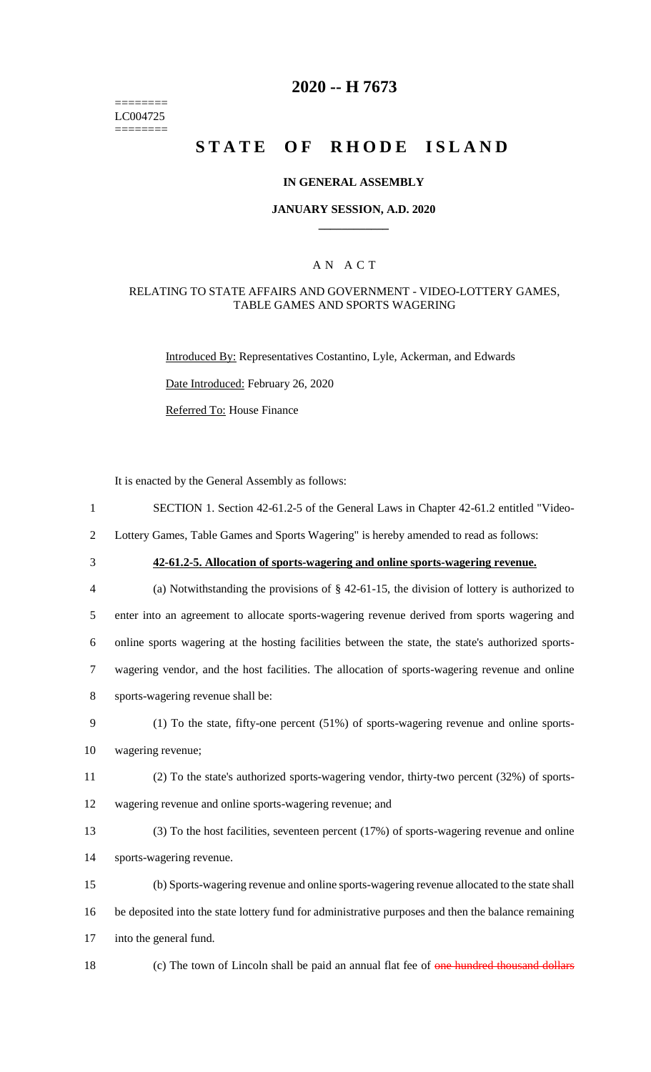======== LC004725 ========

# **2020 -- H 7673**

# **STATE OF RHODE ISLAND**

### **IN GENERAL ASSEMBLY**

### **JANUARY SESSION, A.D. 2020 \_\_\_\_\_\_\_\_\_\_\_\_**

### A N A C T

### RELATING TO STATE AFFAIRS AND GOVERNMENT - VIDEO-LOTTERY GAMES, TABLE GAMES AND SPORTS WAGERING

Introduced By: Representatives Costantino, Lyle, Ackerman, and Edwards

Date Introduced: February 26, 2020

Referred To: House Finance

It is enacted by the General Assembly as follows:

1 SECTION 1. Section 42-61.2-5 of the General Laws in Chapter 42-61.2 entitled "Video-

2 Lottery Games, Table Games and Sports Wagering" is hereby amended to read as follows:

# 3 **42-61.2-5. Allocation of sports-wagering and online sports-wagering revenue.**

 (a) Notwithstanding the provisions of § 42-61-15, the division of lottery is authorized to enter into an agreement to allocate sports-wagering revenue derived from sports wagering and online sports wagering at the hosting facilities between the state, the state's authorized sports- wagering vendor, and the host facilities. The allocation of sports-wagering revenue and online sports-wagering revenue shall be:

- 9 (1) To the state, fifty-one percent (51%) of sports-wagering revenue and online sports-
- 10 wagering revenue;
- 11 (2) To the state's authorized sports-wagering vendor, thirty-two percent (32%) of sports-
- 12 wagering revenue and online sports-wagering revenue; and
- 13 (3) To the host facilities, seventeen percent (17%) of sports-wagering revenue and online 14 sports-wagering revenue.
- 15 (b) Sports-wagering revenue and online sports-wagering revenue allocated to the state shall 16 be deposited into the state lottery fund for administrative purposes and then the balance remaining 17 into the general fund.
- 18 (c) The town of Lincoln shall be paid an annual flat fee of one hundred thousand dollars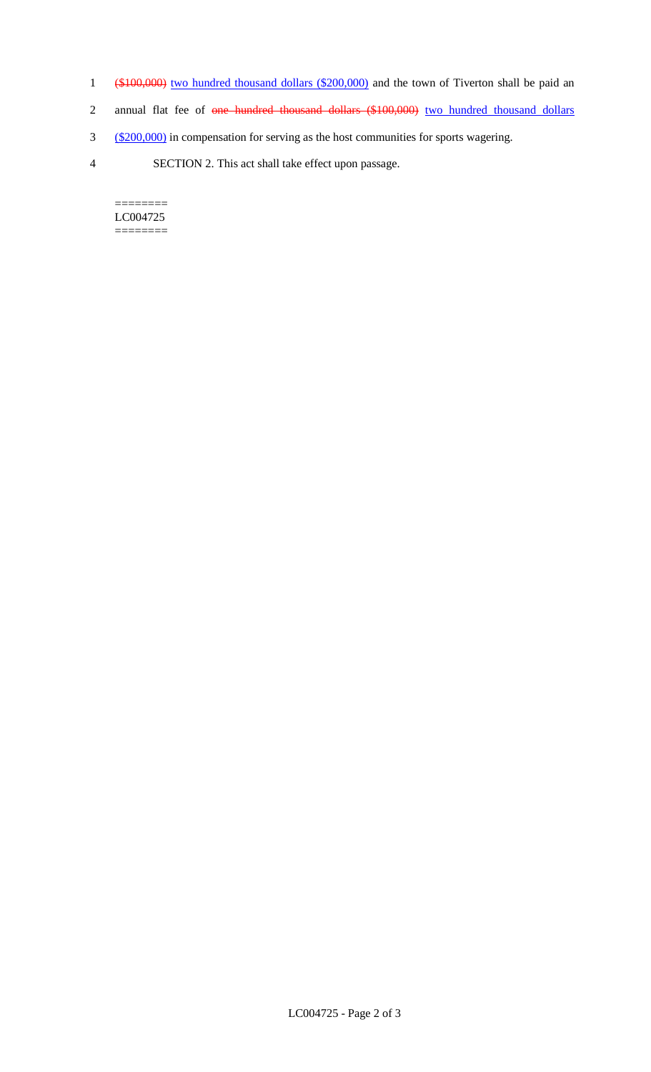- 1 (\$100,000) two hundred thousand dollars (\$200,000) and the town of Tiverton shall be paid an
- 2 annual flat fee of one hundred thousand dollars (\$100,000) two hundred thousand dollars
- 3 (\$200,000) in compensation for serving as the host communities for sports wagering.
- 4 SECTION 2. This act shall take effect upon passage.

======== LC004725 ========